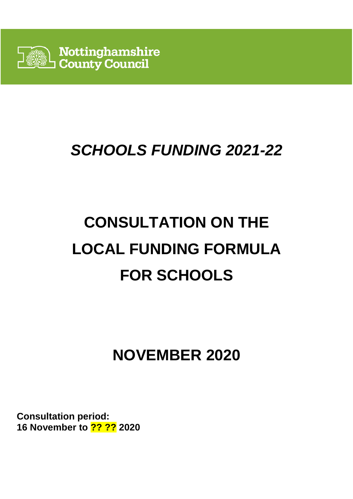

# **SCHOOLS FUNDING 2021-22**

# **CONSULTATION ON THE LOCAL FUNDING FORMULA FOR SCHOOLS**

# **NOVEMBER 2020**

**Consultation period: 16 November to ?? ?? 2020**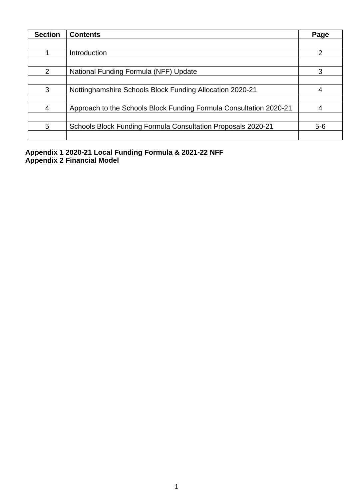| <b>Section</b> | <b>Contents</b>                                                    | Page  |
|----------------|--------------------------------------------------------------------|-------|
|                |                                                                    |       |
|                | Introduction                                                       | 2     |
|                |                                                                    |       |
| 2              | National Funding Formula (NFF) Update                              | 3     |
|                |                                                                    |       |
| 3              | Nottinghamshire Schools Block Funding Allocation 2020-21           | 4     |
|                |                                                                    |       |
| $\overline{4}$ | Approach to the Schools Block Funding Formula Consultation 2020-21 |       |
|                |                                                                    |       |
| 5              | Schools Block Funding Formula Consultation Proposals 2020-21       | $5-6$ |
|                |                                                                    |       |

**Appendix 1 2020-21 Local Funding Formula & 2021-22 NFF Appendix 2 Financial Model**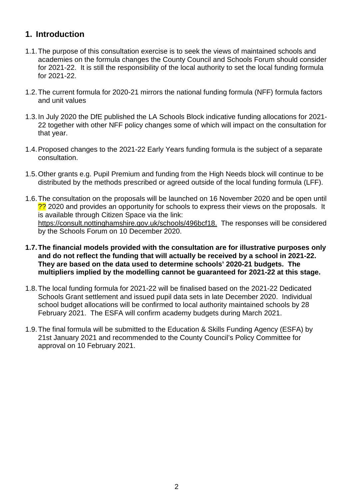#### **1. Introduction**

- 1.1. The purpose of this consultation exercise is to seek the views of maintained schools and academies on the formula changes the County Council and Schools Forum should consider for 2021-22. It is still the responsibility of the local authority to set the local funding formula for 2021-22.
- 1.2. The current formula for 2020-21 mirrors the national funding formula (NFF) formula factors and unit values
- 1.3. In July 2020 the DfE published the LA Schools Block indicative funding allocations for 2021- 22 together with other NFF policy changes some of which will impact on the consultation for that year.
- 1.4. Proposed changes to the 2021-22 Early Years funding formula is the subject of a separate consultation.
- 1.5. Other grants e.g. Pupil Premium and funding from the High Needs block will continue to be distributed by the methods prescribed or agreed outside of the local funding formula (LFF).
- 1.6. The consultation on the proposals will be launched on 16 November 2020 and be open until ?? 2020 and provides an opportunity for schools to express their views on the proposals. It is available through Citizen Space via the link: https://consult.nottinghamshire.gov.uk/schools/496bcf18. The responses will be considered by the Schools Forum on 10 December 2020.
- **1.7. The financial models provided with the consultation are for illustrative purposes only and do not reflect the funding that will actually be received by a school in 2021-22. They are based on the data used to determine schools' 2020-21 budgets. The multipliers implied by the modelling cannot be guaranteed for 2021-22 at this stage.**
- 1.8. The local funding formula for 2021-22 will be finalised based on the 2021-22 Dedicated Schools Grant settlement and issued pupil data sets in late December 2020. Individual school budget allocations will be confirmed to local authority maintained schools by 28 February 2021. The ESFA will confirm academy budgets during March 2021.
- 1.9. The final formula will be submitted to the Education & Skills Funding Agency (ESFA) by 21st January 2021 and recommended to the County Council's Policy Committee for approval on 10 February 2021.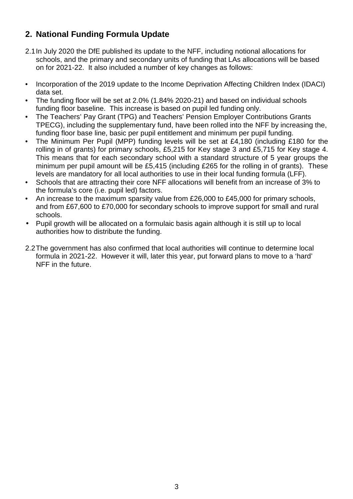## **2. National Funding Formula Update**

- 2.1 In July 2020 the DfE published its update to the NFF, including notional allocations for schools, and the primary and secondary units of funding that LAs allocations will be based on for 2021-22. It also included a number of key changes as follows:
- Incorporation of the 2019 update to the Income Deprivation Affecting Children Index (IDACI) data set.
- The funding floor will be set at 2.0% (1.84% 2020-21) and based on individual schools funding floor baseline. This increase is based on pupil led funding only.
- The Teachers' Pay Grant (TPG) and Teachers' Pension Employer Contributions Grants TPECG), including the supplementary fund, have been rolled into the NFF by increasing the, funding floor base line, basic per pupil entitlement and minimum per pupil funding.
- The Minimum Per Pupil (MPP) funding levels will be set at £4,180 (including £180 for the rolling in of grants) for primary schools, £5,215 for Key stage 3 and £5,715 for Key stage 4. This means that for each secondary school with a standard structure of 5 year groups the minimum per pupil amount will be £5,415 (including £265 for the rolling in of grants). These levels are mandatory for all local authorities to use in their local funding formula (LFF).
- Schools that are attracting their core NFF allocations will benefit from an increase of 3% to the formula's core (i.e. pupil led) factors.
- An increase to the maximum sparsity value from £26,000 to £45,000 for primary schools. and from £67,600 to £70,000 for secondary schools to improve support for small and rural schools.
- Pupil growth will be allocated on a formulaic basis again although it is still up to local authorities how to distribute the funding.
- 2.2 The government has also confirmed that local authorities will continue to determine local formula in 2021-22. However it will, later this year, put forward plans to move to a 'hard' NFF in the future.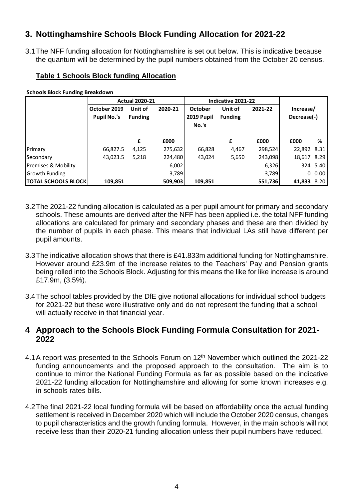### **3. Nottinghamshire Schools Block Funding Allocation for 2021-22**

3.1 The NFF funding allocation for Nottinghamshire is set out below. This is indicative because the quantum will be determined by the pupil numbers obtained from the October 20 census.

#### **Table 1 Schools Block funding Allocation**

**Schools Block Funding Breakdown**

|                            | <b>Actual 2020-21</b> |                |         | Indicative 2021-22 |                |         |             |           |
|----------------------------|-----------------------|----------------|---------|--------------------|----------------|---------|-------------|-----------|
|                            | October 2019          | Unit of        | 2020-21 | October            | Unit of        | 2021-22 | Increase/   |           |
|                            | <b>Pupil No.'s</b>    | <b>Funding</b> |         | 2019 Pupil         | <b>Funding</b> |         | Decrease(-) |           |
|                            |                       |                |         | No.'s              |                |         |             |           |
|                            |                       |                |         |                    |                |         |             |           |
|                            |                       | £              | £000    |                    | £              | £000    | £000        | %         |
| Primary                    | 66,827.5              | 4,125          | 275,632 | 66,828             | 4,467          | 298,524 | 22,892 8.31 |           |
| Secondary                  | 43,023.5              | 5,218          | 224,480 | 43,024             | 5,650          | 243,098 | 18,617 8.29 |           |
| Premises & Mobility        |                       |                | 6,002   |                    |                | 6,326   |             | 324 5.40  |
| <b>Growth Funding</b>      |                       |                | 3,789   |                    |                | 3,789   |             | $0\,0.00$ |
| <b>TOTAL SCHOOLS BLOCK</b> | 109,851               |                | 509,903 | 109,851            |                | 551,736 | 41,833 8.20 |           |

- 3.2 The 2021-22 funding allocation is calculated as a per pupil amount for primary and secondary schools. These amounts are derived after the NFF has been applied i.e. the total NFF funding allocations are calculated for primary and secondary phases and these are then divided by the number of pupils in each phase. This means that individual LAs still have different per pupil amounts.
- 3.3 The indicative allocation shows that there is £41.833m additional funding for Nottinghamshire. However around £23.9m of the increase relates to the Teachers' Pay and Pension grants being rolled into the Schools Block. Adjusting for this means the like for like increase is around £17.9m, (3.5%).
- 3.4 The school tables provided by the DfE give notional allocations for individual school budgets for 2021-22 but these were illustrative only and do not represent the funding that a school will actually receive in that financial year.

#### **4 Approach to the Schools Block Funding Formula Consultation for 2021- 2022**

- 4.1 A report was presented to the Schools Forum on 12<sup>th</sup> November which outlined the 2021-22 funding announcements and the proposed approach to the consultation. The aim is to continue to mirror the National Funding Formula as far as possible based on the indicative 2021-22 funding allocation for Nottinghamshire and allowing for some known increases e.g. in schools rates bills.
- 4.2 The final 2021-22 local funding formula will be based on affordability once the actual funding settlement is received in December 2020 which will include the October 2020 census, changes to pupil characteristics and the growth funding formula. However, in the main schools will not receive less than their 2020-21 funding allocation unless their pupil numbers have reduced.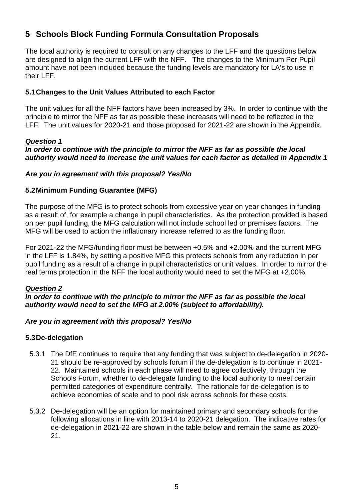## **5 Schools Block Funding Formula Consultation Proposals**

The local authority is required to consult on any changes to the LFF and the questions below are designed to align the current LFF with the NFF. The changes to the Minimum Per Pupil amount have not been included because the funding levels are mandatory for LA's to use in their LFF.

#### **5.1 Changes to the Unit Values Attributed to each Factor**

The unit values for all the NFF factors have been increased by 3%. In order to continue with the principle to mirror the NFF as far as possible these increases will need to be reflected in the LFF. The unit values for 2020-21 and those proposed for 2021-22 are shown in the Appendix.

#### **Question 1**

#### **In order to continue with the principle to mirror the NFF as far as possible the local authority would need to increase the unit values for each factor as detailed in Appendix 1**

#### **Are you in agreement with this proposal? Yes/No**

#### **5.2 Minimum Funding Guarantee (MFG)**

The purpose of the MFG is to protect schools from excessive year on year changes in funding as a result of, for example a change in pupil characteristics. As the protection provided is based on per pupil funding, the MFG calculation will not include school led or premises factors. The MFG will be used to action the inflationary increase referred to as the funding floor.

For 2021-22 the MFG/funding floor must be between +0.5% and +2.00% and the current MFG in the LFF is 1.84%, by setting a positive MFG this protects schools from any reduction in per pupil funding as a result of a change in pupil characteristics or unit values. In order to mirror the real terms protection in the NFF the local authority would need to set the MFG at +2.00%.

#### **Question 2**

**In order to continue with the principle to mirror the NFF as far as possible the local authority would need to set the MFG at 2.00% (subject to affordability).** 

#### **Are you in agreement with this proposal? Yes/No**

#### **5.3 De-delegation**

- 5.3.1 The DfE continues to require that any funding that was subject to de-delegation in 2020- 21 should be re-approved by schools forum if the de-delegation is to continue in 2021- 22. Maintained schools in each phase will need to agree collectively, through the Schools Forum, whether to de-delegate funding to the local authority to meet certain permitted categories of expenditure centrally. The rationale for de-delegation is to achieve economies of scale and to pool risk across schools for these costs.
- 5.3.2 De-delegation will be an option for maintained primary and secondary schools for the following allocations in line with 2013-14 to 2020-21 delegation. The indicative rates for de-delegation in 2021-22 are shown in the table below and remain the same as 2020- 21.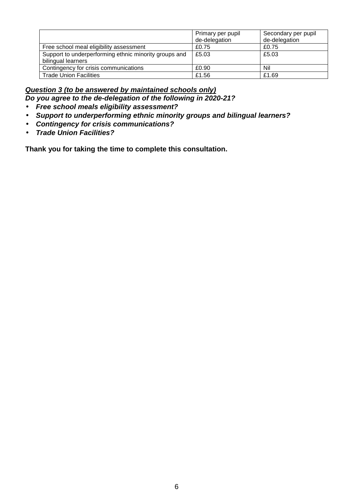|                                                                             | Primary per pupil<br>de-delegation | Secondary per pupil<br>de-delegation |
|-----------------------------------------------------------------------------|------------------------------------|--------------------------------------|
| Free school meal eligibility assessment                                     | £0.75                              | £0.75                                |
| Support to underperforming ethnic minority groups and<br>bilingual learners | £5.03                              | £5.03                                |
| Contingency for crisis communications                                       | £0.90                              | Nil                                  |
| <b>Trade Union Facilities</b>                                               | £1.56                              | £1.69                                |

#### **Question 3 (to be answered by maintained schools only) Do you agree to the de-delegation of the following in 2020-21?**

- **Free school meals eligibility assessment?**
- **Support to underperforming ethnic minority groups and bilingual learners?**
- **Contingency for crisis communications?**
- **Trade Union Facilities?**

**Thank you for taking the time to complete this consultation.**